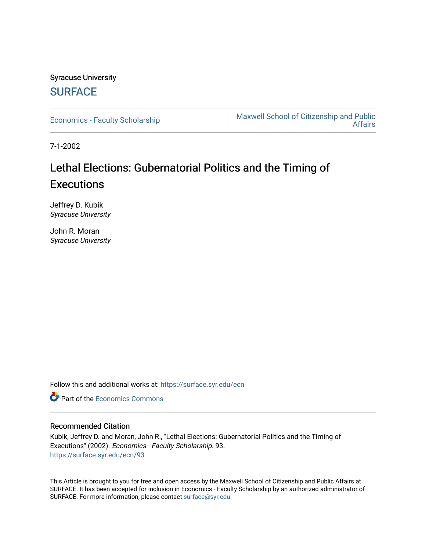# Syracuse University **[SURFACE](https://surface.syr.edu/)**

[Economics - Faculty Scholarship](https://surface.syr.edu/ecn) [Maxwell School of Citizenship and Public](https://surface.syr.edu/maxwell)  [Affairs](https://surface.syr.edu/maxwell) 

7-1-2002

# Lethal Elections: Gubernatorial Politics and the Timing of **Executions**

Jeffrey D. Kubik Syracuse University

John R. Moran Syracuse University

Follow this and additional works at: [https://surface.syr.edu/ecn](https://surface.syr.edu/ecn?utm_source=surface.syr.edu%2Fecn%2F93&utm_medium=PDF&utm_campaign=PDFCoverPages)

**C** Part of the [Economics Commons](http://network.bepress.com/hgg/discipline/340?utm_source=surface.syr.edu%2Fecn%2F93&utm_medium=PDF&utm_campaign=PDFCoverPages)

### Recommended Citation

Kubik, Jeffrey D. and Moran, John R., "Lethal Elections: Gubernatorial Politics and the Timing of Executions" (2002). Economics - Faculty Scholarship. 93. [https://surface.syr.edu/ecn/93](https://surface.syr.edu/ecn/93?utm_source=surface.syr.edu%2Fecn%2F93&utm_medium=PDF&utm_campaign=PDFCoverPages) 

This Article is brought to you for free and open access by the Maxwell School of Citizenship and Public Affairs at SURFACE. It has been accepted for inclusion in Economics - Faculty Scholarship by an authorized administrator of SURFACE. For more information, please contact [surface@syr.edu.](mailto:surface@syr.edu)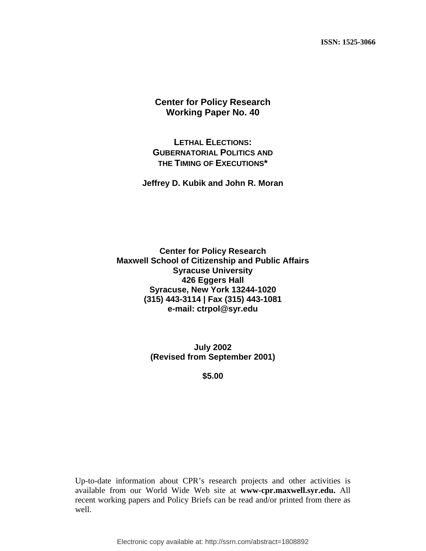**ISSN: 1525-3066** 

# **Center for Policy Research Working Paper No. 40**

# **LETHAL ELECTIONS: GUBERNATORIAL POLITICS AND THE TIMING OF EXECUTIONS\***

### **Jeffrey D. Kubik and John R. Moran**

**Center for Policy Research Maxwell School of Citizenship and Public Affairs Syracuse University 426 Eggers Hall Syracuse, New York 13244-1020 (315) 443-3114 | Fax (315) 443-1081 e-mail: ctrpol@syr.edu** 

> **July 2002 (Revised from September 2001)**

> > **\$5.00**

Up-to-date information about CPR's research projects and other activities is available from our World Wide Web site at **www-cpr.maxwell.syr.edu.** All recent working papers and Policy Briefs can be read and/or printed from there as well.

Electronic copy available at: http://ssrn.com/abstract=1808892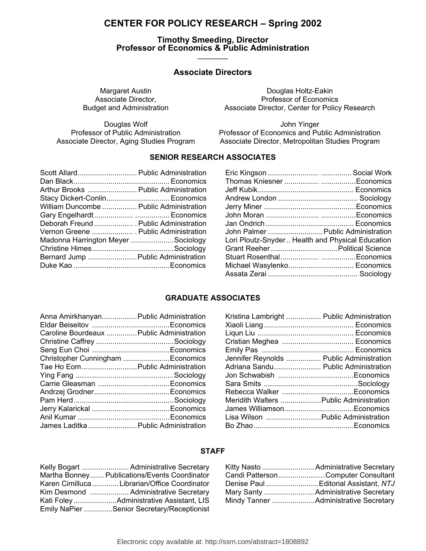# **CENTER FOR POLICY RESEARCH – Spring 2002**

#### **Timothy Smeeding, Director Professor of Economics & Public Administration \_\_\_\_\_\_\_\_\_\_**

## **Associate Directors**

Douglas Wolf<br>Professor of Public Administration<br>Professor of Economics and Pu

Margaret Austin **Douglas Holtz-Eakin** Associate Director,<br>Budget and Administration Budget and Administration Associate Director, Center for Policy Associate Director, Center for Policy Research

Professor of Economics and Public Administration Associate Director, Aging Studies Program Associate Director, Metropolitan Studies Program

### **SENIOR RESEARCH ASSOCIATES**

| Scott Allard Public Administration      |  |
|-----------------------------------------|--|
|                                         |  |
| Arthur Brooks  Public Administration    |  |
| Stacy Dickert-Conlin Economics          |  |
| William Duncombe  Public Administration |  |
|                                         |  |
| Deborah Freund  Public Administration   |  |
| Vernon Greene  Public Administration    |  |
| Madonna Harrington Meyer Sociology      |  |
|                                         |  |
| Bernard Jump  Public Administration     |  |
|                                         |  |
|                                         |  |

| John Palmer  Public Administration               |
|--------------------------------------------------|
| Lori Ploutz-Snyder Health and Physical Education |
|                                                  |
|                                                  |
| Michael Wasylenko Economics                      |
|                                                  |
|                                                  |

### **GRADUATE ASSOCIATES**

| Anna Amirkhanyan Public Administration    |  |
|-------------------------------------------|--|
| Caroline Bourdeaux  Public Administration |  |
|                                           |  |
|                                           |  |
| Christopher Cunningham Economics          |  |
| Tae Ho Eom Public Administration          |  |
|                                           |  |
|                                           |  |
|                                           |  |
|                                           |  |
|                                           |  |
|                                           |  |
| James Laditka  Public Administration      |  |

| Kristina Lambright  Public Administration |  |
|-------------------------------------------|--|
|                                           |  |
|                                           |  |
|                                           |  |
|                                           |  |
| Jennifer Reynolds  Public Administration  |  |
| Adriana Sandu Public Administration       |  |
|                                           |  |
|                                           |  |
|                                           |  |
| Meridith Walters  Public Administration   |  |
|                                           |  |
| Lisa Wilson  Public Administration        |  |
|                                           |  |

### **STAFF**

| Kelly Bogart  Administrative Secretary        |
|-----------------------------------------------|
| Martha Bonney Publications/Events Coordinator |
| Karen Cimilluca  Librarian/Office Coordinator |
| Kim Desmond  Administrative Secretary         |
|                                               |
| Emily NaPier Senior Secretary/Receptionist    |

| Candi PattersonComputer Consultant  |
|-------------------------------------|
| Denise PaulEditorial Assistant, NTJ |
|                                     |
|                                     |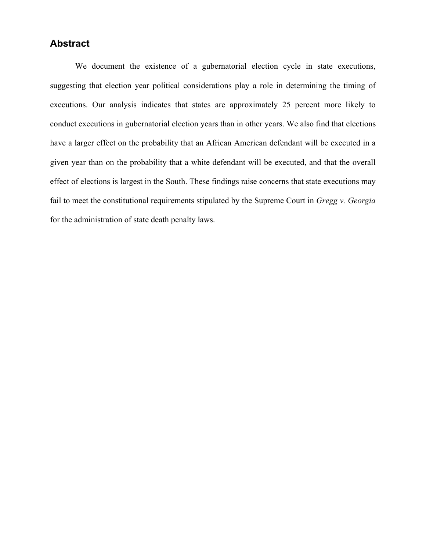# **Abstract**

We document the existence of a gubernatorial election cycle in state executions, suggesting that election year political considerations play a role in determining the timing of executions. Our analysis indicates that states are approximately 25 percent more likely to conduct executions in gubernatorial election years than in other years. We also find that elections have a larger effect on the probability that an African American defendant will be executed in a given year than on the probability that a white defendant will be executed, and that the overall effect of elections is largest in the South. These findings raise concerns that state executions may fail to meet the constitutional requirements stipulated by the Supreme Court in *Gregg v. Georgia* for the administration of state death penalty laws.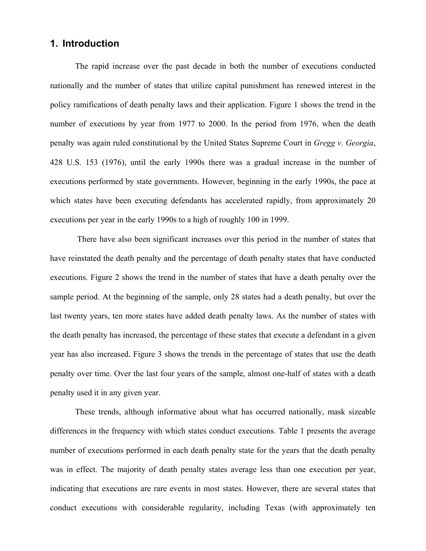# **1. Introduction**

The rapid increase over the past decade in both the number of executions conducted nationally and the number of states that utilize capital punishment has renewed interest in the policy ramifications of death penalty laws and their application. Figure 1 shows the trend in the number of executions by year from 1977 to 2000. In the period from 1976, when the death penalty was again ruled constitutional by the United States Supreme Court in *Gregg v. Georgia*, 428 U.S. 153 (1976), until the early 1990s there was a gradual increase in the number of executions performed by state governments. However, beginning in the early 1990s, the pace at which states have been executing defendants has accelerated rapidly, from approximately 20 executions per year in the early 1990s to a high of roughly 100 in 1999.

 There have also been significant increases over this period in the number of states that have reinstated the death penalty and the percentage of death penalty states that have conducted executions. Figure 2 shows the trend in the number of states that have a death penalty over the sample period. At the beginning of the sample, only 28 states had a death penalty, but over the last twenty years, ten more states have added death penalty laws. As the number of states with the death penalty has increased, the percentage of these states that execute a defendant in a given year has also increased. Figure 3 shows the trends in the percentage of states that use the death penalty over time. Over the last four years of the sample, almost one-half of states with a death penalty used it in any given year.

These trends, although informative about what has occurred nationally, mask sizeable differences in the frequency with which states conduct executions. Table 1 presents the average number of executions performed in each death penalty state for the years that the death penalty was in effect. The majority of death penalty states average less than one execution per year, indicating that executions are rare events in most states. However, there are several states that conduct executions with considerable regularity, including Texas (with approximately ten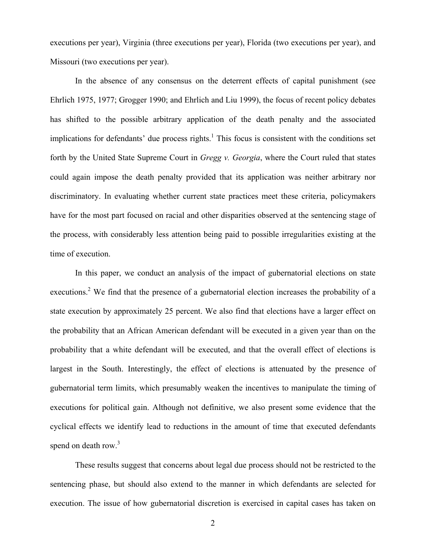executions per year), Virginia (three executions per year), Florida (two executions per year), and Missouri (two executions per year).

In the absence of any consensus on the deterrent effects of capital punishment (see Ehrlich 1975, 1977; Grogger 1990; and Ehrlich and Liu 1999), the focus of recent policy debates has shifted to the possible arbitrary application of the death penalty and the associated implications for defendants' due process rights.<sup>1</sup> This focus is consistent with the conditions set forth by the United State Supreme Court in *Gregg v. Georgia*, where the Court ruled that states could again impose the death penalty provided that its application was neither arbitrary nor discriminatory. In evaluating whether current state practices meet these criteria, policymakers have for the most part focused on racial and other disparities observed at the sentencing stage of the process, with considerably less attention being paid to possible irregularities existing at the time of execution.

In this paper, we conduct an analysis of the impact of gubernatorial elections on state executions.<sup>2</sup> We find that the presence of a gubernatorial election increases the probability of a state execution by approximately 25 percent. We also find that elections have a larger effect on the probability that an African American defendant will be executed in a given year than on the probability that a white defendant will be executed, and that the overall effect of elections is largest in the South. Interestingly, the effect of elections is attenuated by the presence of gubernatorial term limits, which presumably weaken the incentives to manipulate the timing of executions for political gain. Although not definitive, we also present some evidence that the cyclical effects we identify lead to reductions in the amount of time that executed defendants spend on death row.<sup>3</sup>

These results suggest that concerns about legal due process should not be restricted to the sentencing phase, but should also extend to the manner in which defendants are selected for execution. The issue of how gubernatorial discretion is exercised in capital cases has taken on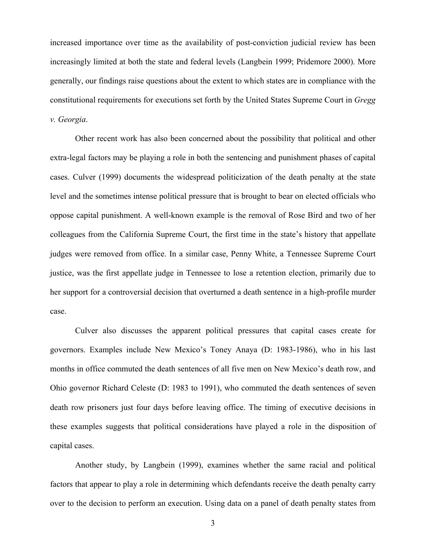increased importance over time as the availability of post-conviction judicial review has been increasingly limited at both the state and federal levels (Langbein 1999; Pridemore 2000). More generally, our findings raise questions about the extent to which states are in compliance with the constitutional requirements for executions set forth by the United States Supreme Court in *Gregg v. Georgia*.

Other recent work has also been concerned about the possibility that political and other extra-legal factors may be playing a role in both the sentencing and punishment phases of capital cases. Culver (1999) documents the widespread politicization of the death penalty at the state level and the sometimes intense political pressure that is brought to bear on elected officials who oppose capital punishment. A well-known example is the removal of Rose Bird and two of her colleagues from the California Supreme Court, the first time in the state's history that appellate judges were removed from office. In a similar case, Penny White, a Tennessee Supreme Court justice, was the first appellate judge in Tennessee to lose a retention election, primarily due to her support for a controversial decision that overturned a death sentence in a high-profile murder case.

Culver also discusses the apparent political pressures that capital cases create for governors. Examples include New Mexico's Toney Anaya (D: 1983-1986), who in his last months in office commuted the death sentences of all five men on New Mexico's death row, and Ohio governor Richard Celeste (D: 1983 to 1991), who commuted the death sentences of seven death row prisoners just four days before leaving office. The timing of executive decisions in these examples suggests that political considerations have played a role in the disposition of capital cases.

Another study, by Langbein (1999), examines whether the same racial and political factors that appear to play a role in determining which defendants receive the death penalty carry over to the decision to perform an execution. Using data on a panel of death penalty states from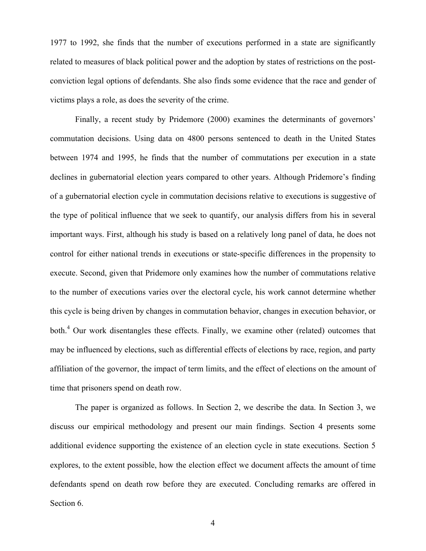1977 to 1992, she finds that the number of executions performed in a state are significantly related to measures of black political power and the adoption by states of restrictions on the postconviction legal options of defendants. She also finds some evidence that the race and gender of victims plays a role, as does the severity of the crime.

Finally, a recent study by Pridemore (2000) examines the determinants of governors' commutation decisions. Using data on 4800 persons sentenced to death in the United States between 1974 and 1995, he finds that the number of commutations per execution in a state declines in gubernatorial election years compared to other years. Although Pridemore's finding of a gubernatorial election cycle in commutation decisions relative to executions is suggestive of the type of political influence that we seek to quantify, our analysis differs from his in several important ways. First, although his study is based on a relatively long panel of data, he does not control for either national trends in executions or state-specific differences in the propensity to execute. Second, given that Pridemore only examines how the number of commutations relative to the number of executions varies over the electoral cycle, his work cannot determine whether this cycle is being driven by changes in commutation behavior, changes in execution behavior, or both.<sup>4</sup> Our work disentangles these effects. Finally, we examine other (related) outcomes that may be influenced by elections, such as differential effects of elections by race, region, and party affiliation of the governor, the impact of term limits, and the effect of elections on the amount of time that prisoners spend on death row.

The paper is organized as follows. In Section 2, we describe the data. In Section 3, we discuss our empirical methodology and present our main findings. Section 4 presents some additional evidence supporting the existence of an election cycle in state executions. Section 5 explores, to the extent possible, how the election effect we document affects the amount of time defendants spend on death row before they are executed. Concluding remarks are offered in Section 6.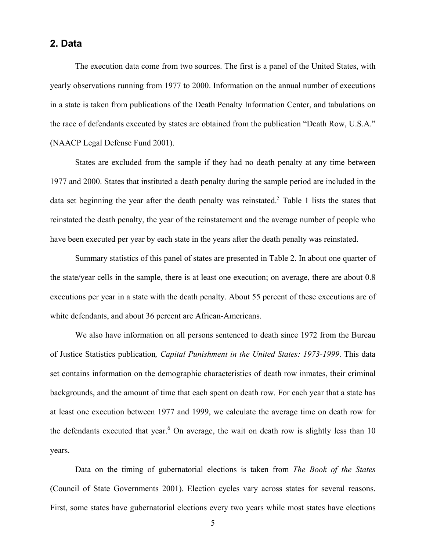# **2. Data**

The execution data come from two sources. The first is a panel of the United States, with yearly observations running from 1977 to 2000. Information on the annual number of executions in a state is taken from publications of the Death Penalty Information Center, and tabulations on the race of defendants executed by states are obtained from the publication "Death Row, U.S.A." (NAACP Legal Defense Fund 2001).

 States are excluded from the sample if they had no death penalty at any time between 1977 and 2000. States that instituted a death penalty during the sample period are included in the data set beginning the year after the death penalty was reinstated.<sup>5</sup> Table 1 lists the states that reinstated the death penalty, the year of the reinstatement and the average number of people who have been executed per year by each state in the years after the death penalty was reinstated.

 Summary statistics of this panel of states are presented in Table 2. In about one quarter of the state/year cells in the sample, there is at least one execution; on average, there are about 0.8 executions per year in a state with the death penalty. About 55 percent of these executions are of white defendants, and about 36 percent are African-Americans.

 We also have information on all persons sentenced to death since 1972 from the Bureau of Justice Statistics publication*, Capital Punishment in the United States: 1973-1999*. This data set contains information on the demographic characteristics of death row inmates, their criminal backgrounds, and the amount of time that each spent on death row. For each year that a state has at least one execution between 1977 and 1999, we calculate the average time on death row for the defendants executed that year. <sup>6</sup> On average, the wait on death row is slightly less than 10 years.

 Data on the timing of gubernatorial elections is taken from *The Book of the States* (Council of State Governments 2001). Election cycles vary across states for several reasons. First, some states have gubernatorial elections every two years while most states have elections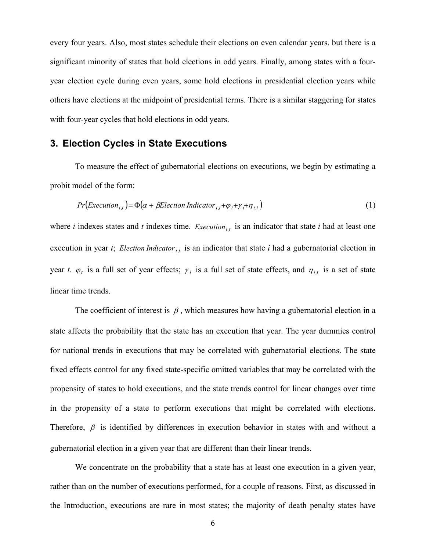every four years. Also, most states schedule their elections on even calendar years, but there is a significant minority of states that hold elections in odd years. Finally, among states with a fouryear election cycle during even years, some hold elections in presidential election years while others have elections at the midpoint of presidential terms. There is a similar staggering for states with four-year cycles that hold elections in odd years.

# **3. Election Cycles in State Executions**

To measure the effect of gubernatorial elections on executions, we begin by estimating a probit model of the form:

$$
Pr\left(\text{Execution}_{i,t}\right) = \Phi\left(\alpha + \beta \text{Electronic Indicator}_{i,t} + \varphi_t + \gamma_i + \eta_{i,t}\right) \tag{1}
$$

where  $i$  indexes states and  $t$  indexes time. *Execution*<sub>it</sub> is an indicator that state  $i$  had at least one execution in year *t*; *Election Indicator*  $_{i,t}$  is an indicator that state *i* had a gubernatorial election in year *t*.  $\varphi_t$  is a full set of year effects;  $\gamma_i$  is a full set of state effects, and  $\eta_{i,t}$  is a set of state linear time trends.

The coefficient of interest is  $\beta$ , which measures how having a gubernatorial election in a state affects the probability that the state has an execution that year. The year dummies control for national trends in executions that may be correlated with gubernatorial elections. The state fixed effects control for any fixed state-specific omitted variables that may be correlated with the propensity of states to hold executions, and the state trends control for linear changes over time in the propensity of a state to perform executions that might be correlated with elections. Therefore,  $\beta$  is identified by differences in execution behavior in states with and without a gubernatorial election in a given year that are different than their linear trends.

We concentrate on the probability that a state has at least one execution in a given year, rather than on the number of executions performed, for a couple of reasons. First, as discussed in the Introduction, executions are rare in most states; the majority of death penalty states have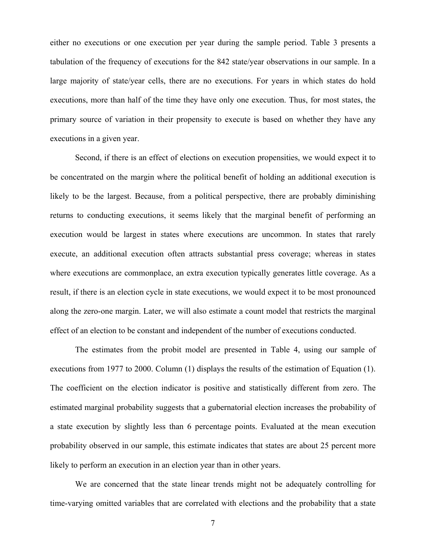either no executions or one execution per year during the sample period. Table 3 presents a tabulation of the frequency of executions for the 842 state/year observations in our sample. In a large majority of state/year cells, there are no executions. For years in which states do hold executions, more than half of the time they have only one execution. Thus, for most states, the primary source of variation in their propensity to execute is based on whether they have any executions in a given year.

Second, if there is an effect of elections on execution propensities, we would expect it to be concentrated on the margin where the political benefit of holding an additional execution is likely to be the largest. Because, from a political perspective, there are probably diminishing returns to conducting executions, it seems likely that the marginal benefit of performing an execution would be largest in states where executions are uncommon. In states that rarely execute, an additional execution often attracts substantial press coverage; whereas in states where executions are commonplace, an extra execution typically generates little coverage. As a result, if there is an election cycle in state executions, we would expect it to be most pronounced along the zero-one margin. Later, we will also estimate a count model that restricts the marginal effect of an election to be constant and independent of the number of executions conducted.

 The estimates from the probit model are presented in Table 4, using our sample of executions from 1977 to 2000. Column (1) displays the results of the estimation of Equation (1). The coefficient on the election indicator is positive and statistically different from zero. The estimated marginal probability suggests that a gubernatorial election increases the probability of a state execution by slightly less than 6 percentage points. Evaluated at the mean execution probability observed in our sample, this estimate indicates that states are about 25 percent more likely to perform an execution in an election year than in other years.

 We are concerned that the state linear trends might not be adequately controlling for time-varying omitted variables that are correlated with elections and the probability that a state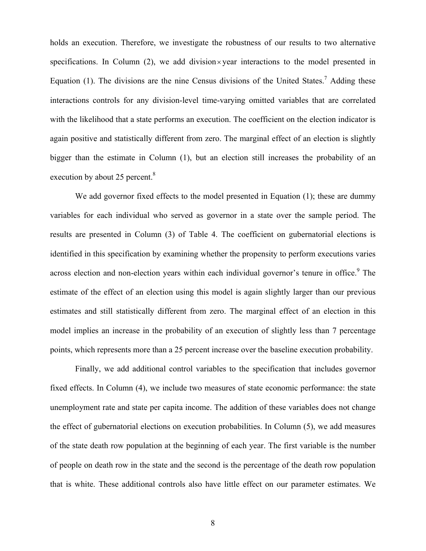holds an execution. Therefore, we investigate the robustness of our results to two alternative specifications. In Column  $(2)$ , we add division  $\times$  vear interactions to the model presented in Equation (1). The divisions are the nine Census divisions of the United States.<sup>7</sup> Adding these interactions controls for any division-level time-varying omitted variables that are correlated with the likelihood that a state performs an execution. The coefficient on the election indicator is again positive and statistically different from zero. The marginal effect of an election is slightly bigger than the estimate in Column (1), but an election still increases the probability of an execution by about 25 percent.<sup>8</sup>

We add governor fixed effects to the model presented in Equation (1); these are dummy variables for each individual who served as governor in a state over the sample period. The results are presented in Column (3) of Table 4. The coefficient on gubernatorial elections is identified in this specification by examining whether the propensity to perform executions varies across election and non-election years within each individual governor's tenure in office.<sup>9</sup> The estimate of the effect of an election using this model is again slightly larger than our previous estimates and still statistically different from zero. The marginal effect of an election in this model implies an increase in the probability of an execution of slightly less than 7 percentage points, which represents more than a 25 percent increase over the baseline execution probability.

 Finally, we add additional control variables to the specification that includes governor fixed effects. In Column (4), we include two measures of state economic performance: the state unemployment rate and state per capita income. The addition of these variables does not change the effect of gubernatorial elections on execution probabilities. In Column (5), we add measures of the state death row population at the beginning of each year. The first variable is the number of people on death row in the state and the second is the percentage of the death row population that is white. These additional controls also have little effect on our parameter estimates. We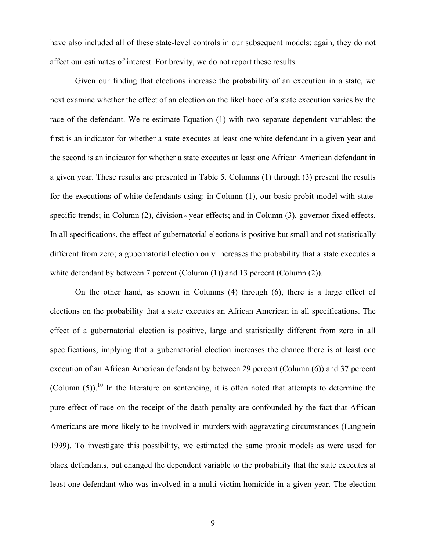have also included all of these state-level controls in our subsequent models; again, they do not affect our estimates of interest. For brevity, we do not report these results.

 Given our finding that elections increase the probability of an execution in a state, we next examine whether the effect of an election on the likelihood of a state execution varies by the race of the defendant. We re-estimate Equation (1) with two separate dependent variables: the first is an indicator for whether a state executes at least one white defendant in a given year and the second is an indicator for whether a state executes at least one African American defendant in a given year. These results are presented in Table 5. Columns (1) through (3) present the results for the executions of white defendants using: in Column (1), our basic probit model with statespecific trends; in Column  $(2)$ , division  $\times$  year effects; and in Column  $(3)$ , governor fixed effects. In all specifications, the effect of gubernatorial elections is positive but small and not statistically different from zero; a gubernatorial election only increases the probability that a state executes a white defendant by between 7 percent (Column (1)) and 13 percent (Column (2)).

 On the other hand, as shown in Columns (4) through (6), there is a large effect of elections on the probability that a state executes an African American in all specifications. The effect of a gubernatorial election is positive, large and statistically different from zero in all specifications, implying that a gubernatorial election increases the chance there is at least one execution of an African American defendant by between 29 percent (Column (6)) and 37 percent (Column  $(5)$ ).<sup>10</sup> In the literature on sentencing, it is often noted that attempts to determine the pure effect of race on the receipt of the death penalty are confounded by the fact that African Americans are more likely to be involved in murders with aggravating circumstances (Langbein 1999). To investigate this possibility, we estimated the same probit models as were used for black defendants, but changed the dependent variable to the probability that the state executes at least one defendant who was involved in a multi-victim homicide in a given year. The election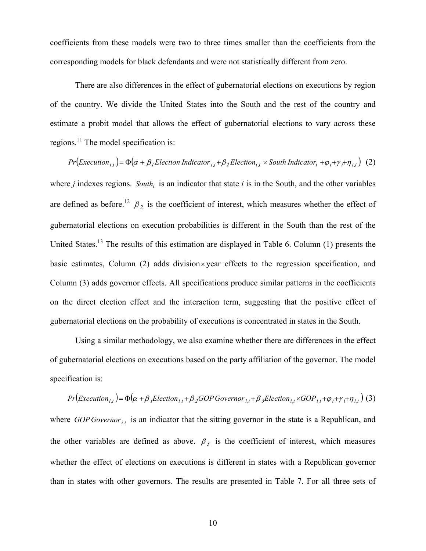coefficients from these models were two to three times smaller than the coefficients from the corresponding models for black defendants and were not statistically different from zero.

There are also differences in the effect of gubernatorial elections on executions by region of the country. We divide the United States into the South and the rest of the country and estimate a probit model that allows the effect of gubernatorial elections to vary across these regions.<sup>11</sup> The model specification is:

 $Pr(Execution_{i,t}) = \Phi(\alpha + \beta_1 Electronic \\equiv_{i,t} + \beta_2 Electronic_{i,t} \times South\;Indication_{i,t} + \varphi_t + \gamma_i + \eta_{i,t})$  (2) where  $j$  indexes regions. *South<sub>i</sub>* is an indicator that state  $i$  is in the South, and the other variables are defined as before.<sup>12</sup>  $\beta_2$  is the coefficient of interest, which measures whether the effect of gubernatorial elections on execution probabilities is different in the South than the rest of the United States.<sup>13</sup> The results of this estimation are displayed in Table 6. Column (1) presents the basic estimates, Column  $(2)$  adds division  $\times$  year effects to the regression specification, and Column (3) adds governor effects. All specifications produce similar patterns in the coefficients on the direct election effect and the interaction term, suggesting that the positive effect of gubernatorial elections on the probability of executions is concentrated in states in the South.

Using a similar methodology, we also examine whether there are differences in the effect of gubernatorial elections on executions based on the party affiliation of the governor. The model specification is:

$$
Pr\left(\text{Execution}_{i,t}\right) = \Phi\left(\alpha + \beta_1 \text{Electronic}_{i,t} + \beta_2 \text{GOP} \text{Government}_{i,t} + \beta_3 \text{Electronic}_{i,t} \times \text{GOP}_{i,t} + \varphi_t + \gamma_i + \eta_{i,t}\right)
$$
 (3)

where *GOP Governor<sub>i,t</sub>* is an indicator that the sitting governor in the state is a Republican, and the other variables are defined as above.  $\beta_3$  is the coefficient of interest, which measures whether the effect of elections on executions is different in states with a Republican governor than in states with other governors. The results are presented in Table 7. For all three sets of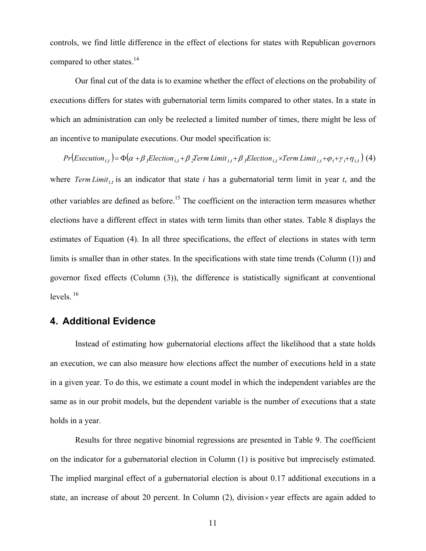controls, we find little difference in the effect of elections for states with Republican governors compared to other states.<sup>14</sup>

Our final cut of the data is to examine whether the effect of elections on the probability of executions differs for states with gubernatorial term limits compared to other states. In a state in which an administration can only be reelected a limited number of times, there might be less of an incentive to manipulate executions. Our model specification is:

 $Pr(Execution_{i,t}) = \Phi(\alpha + \beta_1Election_{i,t} + \beta_2Term\ Limit_{i,t} + \beta_3Election_{i,t} \times Term\ Limit_{i,t} + \phi_t + \gamma_i + \eta_{i,t})$  (4) where *Term Limit<sub>it</sub>* is an indicator that state *i* has a gubernatorial term limit in year *t*, and the other variables are defined as before.15 The coefficient on the interaction term measures whether elections have a different effect in states with term limits than other states. Table 8 displays the estimates of Equation (4). In all three specifications, the effect of elections in states with term limits is smaller than in other states. In the specifications with state time trends (Column (1)) and governor fixed effects (Column (3)), the difference is statistically significant at conventional levels. 16

# **4. Additional Evidence**

Instead of estimating how gubernatorial elections affect the likelihood that a state holds an execution, we can also measure how elections affect the number of executions held in a state in a given year. To do this, we estimate a count model in which the independent variables are the same as in our probit models, but the dependent variable is the number of executions that a state holds in a year.

 Results for three negative binomial regressions are presented in Table 9. The coefficient on the indicator for a gubernatorial election in Column (1) is positive but imprecisely estimated. The implied marginal effect of a gubernatorial election is about 0.17 additional executions in a state, an increase of about 20 percent. In Column  $(2)$ , division  $\times$  year effects are again added to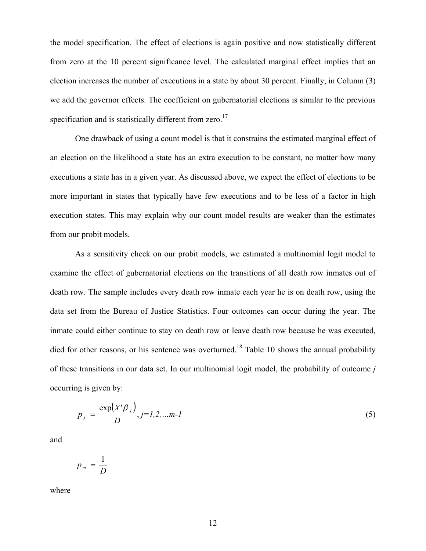the model specification. The effect of elections is again positive and now statistically different from zero at the 10 percent significance level. The calculated marginal effect implies that an election increases the number of executions in a state by about 30 percent. Finally, in Column (3) we add the governor effects. The coefficient on gubernatorial elections is similar to the previous specification and is statistically different from zero.<sup>17</sup>

 One drawback of using a count model is that it constrains the estimated marginal effect of an election on the likelihood a state has an extra execution to be constant, no matter how many executions a state has in a given year. As discussed above, we expect the effect of elections to be more important in states that typically have few executions and to be less of a factor in high execution states. This may explain why our count model results are weaker than the estimates from our probit models.

As a sensitivity check on our probit models, we estimated a multinomial logit model to examine the effect of gubernatorial elections on the transitions of all death row inmates out of death row. The sample includes every death row inmate each year he is on death row, using the data set from the Bureau of Justice Statistics. Four outcomes can occur during the year. The inmate could either continue to stay on death row or leave death row because he was executed, died for other reasons, or his sentence was overturned.<sup>18</sup> Table 10 shows the annual probability of these transitions in our data set. In our multinomial logit model, the probability of outcome *j* occurring is given by:

$$
p_{j} = \frac{\exp(X^{j}\beta_{j})}{D}, j=1,2,...m-1
$$
 (5)

and

$$
p_m = \frac{1}{D}
$$

where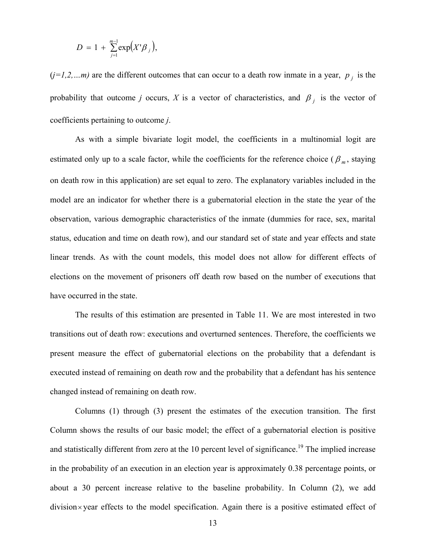$$
D = 1 + \sum_{j=1}^{m-1} \exp(X^{\prime} \beta_j),
$$

 $(j=1,2,...m)$  are the different outcomes that can occur to a death row inmate in a year,  $p_j$  is the probability that outcome *j* occurs, *X* is a vector of characteristics, and  $\beta$  *j* is the vector of coefficients pertaining to outcome *j*.

 As with a simple bivariate logit model, the coefficients in a multinomial logit are estimated only up to a scale factor, while the coefficients for the reference choice ( $\beta_m$ , staying on death row in this application) are set equal to zero. The explanatory variables included in the model are an indicator for whether there is a gubernatorial election in the state the year of the observation, various demographic characteristics of the inmate (dummies for race, sex, marital status, education and time on death row), and our standard set of state and year effects and state linear trends. As with the count models, this model does not allow for different effects of elections on the movement of prisoners off death row based on the number of executions that have occurred in the state.

 The results of this estimation are presented in Table 11. We are most interested in two transitions out of death row: executions and overturned sentences. Therefore, the coefficients we present measure the effect of gubernatorial elections on the probability that a defendant is executed instead of remaining on death row and the probability that a defendant has his sentence changed instead of remaining on death row.

Columns (1) through (3) present the estimates of the execution transition. The first Column shows the results of our basic model; the effect of a gubernatorial election is positive and statistically different from zero at the 10 percent level of significance.<sup>19</sup> The implied increase in the probability of an execution in an election year is approximately 0.38 percentage points, or about a 30 percent increase relative to the baseline probability. In Column (2), we add division× year effects to the model specification. Again there is a positive estimated effect of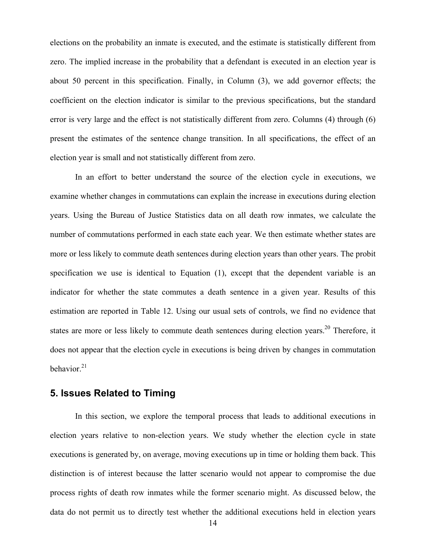elections on the probability an inmate is executed, and the estimate is statistically different from zero. The implied increase in the probability that a defendant is executed in an election year is about 50 percent in this specification. Finally, in Column (3), we add governor effects; the coefficient on the election indicator is similar to the previous specifications, but the standard error is very large and the effect is not statistically different from zero. Columns (4) through (6) present the estimates of the sentence change transition. In all specifications, the effect of an election year is small and not statistically different from zero.

In an effort to better understand the source of the election cycle in executions, we examine whether changes in commutations can explain the increase in executions during election years. Using the Bureau of Justice Statistics data on all death row inmates, we calculate the number of commutations performed in each state each year. We then estimate whether states are more or less likely to commute death sentences during election years than other years. The probit specification we use is identical to Equation (1), except that the dependent variable is an indicator for whether the state commutes a death sentence in a given year. Results of this estimation are reported in Table 12. Using our usual sets of controls, we find no evidence that states are more or less likely to commute death sentences during election years.<sup>20</sup> Therefore, it does not appear that the election cycle in executions is being driven by changes in commutation behavior. $21$ 

# **5. Issues Related to Timing**

 In this section, we explore the temporal process that leads to additional executions in election years relative to non-election years. We study whether the election cycle in state executions is generated by, on average, moving executions up in time or holding them back. This distinction is of interest because the latter scenario would not appear to compromise the due process rights of death row inmates while the former scenario might. As discussed below, the data do not permit us to directly test whether the additional executions held in election years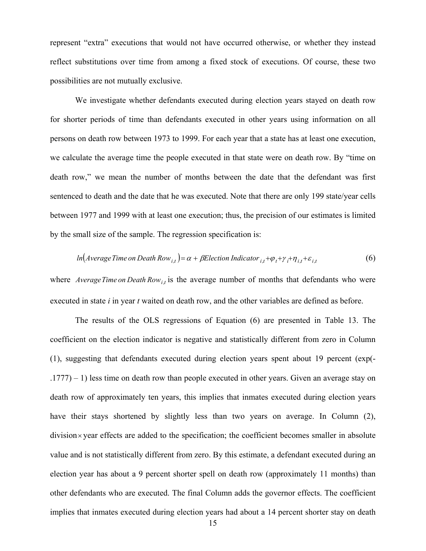represent "extra" executions that would not have occurred otherwise, or whether they instead reflect substitutions over time from among a fixed stock of executions. Of course, these two possibilities are not mutually exclusive.

We investigate whether defendants executed during election years stayed on death row for shorter periods of time than defendants executed in other years using information on all persons on death row between 1973 to 1999. For each year that a state has at least one execution, we calculate the average time the people executed in that state were on death row. By "time on death row," we mean the number of months between the date that the defendant was first sentenced to death and the date that he was executed. Note that there are only 199 state/year cells between 1977 and 1999 with at least one execution; thus, the precision of our estimates is limited by the small size of the sample. The regression specification is:

$$
ln(Average Time on Death Rowi,t) = \alpha + \beta Electronic function Indicatori,t + \varphi_t + \gamma_i + \eta_{i,t} + \varepsilon_{i,t}
$$
 (6)

where *AverageTime on Death*  $Row_{i,t}$  is the average number of months that defendants who were executed in state *i* in year *t* waited on death row, and the other variables are defined as before.

 The results of the OLS regressions of Equation (6) are presented in Table 13. The coefficient on the election indicator is negative and statistically different from zero in Column (1), suggesting that defendants executed during election years spent about 19 percent (exp(- .1777) – 1) less time on death row than people executed in other years. Given an average stay on death row of approximately ten years, this implies that inmates executed during election years have their stays shortened by slightly less than two years on average. In Column (2),  $division \times year$  effects are added to the specification; the coefficient becomes smaller in absolute value and is not statistically different from zero. By this estimate, a defendant executed during an election year has about a 9 percent shorter spell on death row (approximately 11 months) than other defendants who are executed. The final Column adds the governor effects. The coefficient implies that inmates executed during election years had about a 14 percent shorter stay on death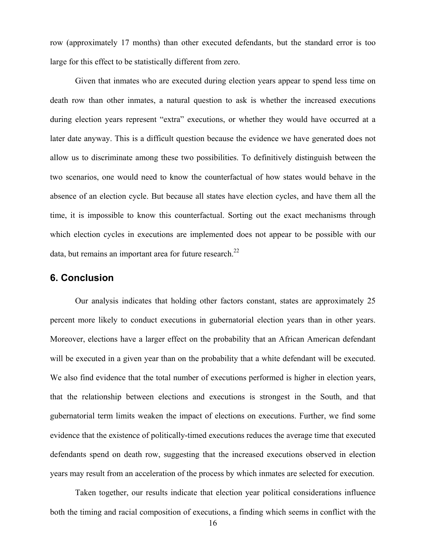row (approximately 17 months) than other executed defendants, but the standard error is too large for this effect to be statistically different from zero.

 Given that inmates who are executed during election years appear to spend less time on death row than other inmates, a natural question to ask is whether the increased executions during election years represent "extra" executions, or whether they would have occurred at a later date anyway. This is a difficult question because the evidence we have generated does not allow us to discriminate among these two possibilities. To definitively distinguish between the two scenarios, one would need to know the counterfactual of how states would behave in the absence of an election cycle. But because all states have election cycles, and have them all the time, it is impossible to know this counterfactual. Sorting out the exact mechanisms through which election cycles in executions are implemented does not appear to be possible with our data, but remains an important area for future research. $^{22}$ 

## **6. Conclusion**

Our analysis indicates that holding other factors constant, states are approximately 25 percent more likely to conduct executions in gubernatorial election years than in other years. Moreover, elections have a larger effect on the probability that an African American defendant will be executed in a given year than on the probability that a white defendant will be executed. We also find evidence that the total number of executions performed is higher in election years, that the relationship between elections and executions is strongest in the South, and that gubernatorial term limits weaken the impact of elections on executions. Further, we find some evidence that the existence of politically-timed executions reduces the average time that executed defendants spend on death row, suggesting that the increased executions observed in election years may result from an acceleration of the process by which inmates are selected for execution.

Taken together, our results indicate that election year political considerations influence both the timing and racial composition of executions, a finding which seems in conflict with the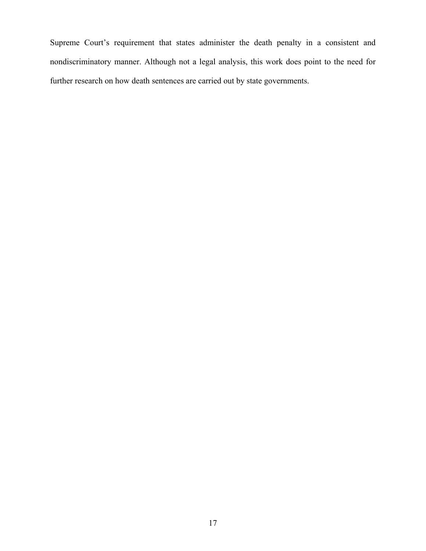Supreme Court's requirement that states administer the death penalty in a consistent and nondiscriminatory manner. Although not a legal analysis, this work does point to the need for further research on how death sentences are carried out by state governments.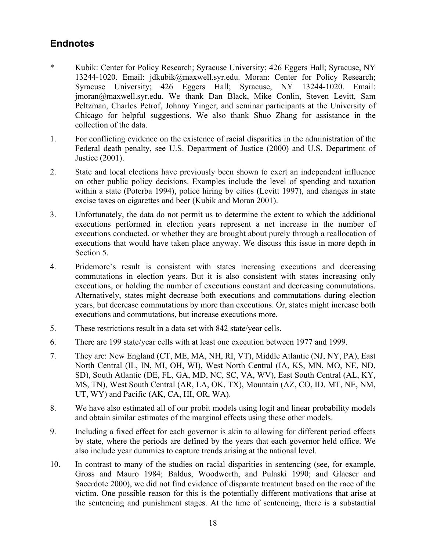# **Endnotes**

- \* Kubik: Center for Policy Research; Syracuse University; 426 Eggers Hall; Syracuse, NY 13244-1020. Email: jdkubik@maxwell.syr.edu. Moran: Center for Policy Research; Syracuse University; 426 Eggers Hall; Syracuse, NY 13244-1020. Email: jmoran@maxwell.syr.edu. We thank Dan Black, Mike Conlin, Steven Levitt, Sam Peltzman, Charles Petrof, Johnny Yinger, and seminar participants at the University of Chicago for helpful suggestions. We also thank Shuo Zhang for assistance in the collection of the data.
- 1. For conflicting evidence on the existence of racial disparities in the administration of the Federal death penalty, see U.S. Department of Justice (2000) and U.S. Department of Justice (2001).
- 2. State and local elections have previously been shown to exert an independent influence on other public policy decisions. Examples include the level of spending and taxation within a state (Poterba 1994), police hiring by cities (Levitt 1997), and changes in state excise taxes on cigarettes and beer (Kubik and Moran 2001).
- 3. Unfortunately, the data do not permit us to determine the extent to which the additional executions performed in election years represent a net increase in the number of executions conducted, or whether they are brought about purely through a reallocation of executions that would have taken place anyway. We discuss this issue in more depth in Section 5.
- 4. Pridemore's result is consistent with states increasing executions and decreasing commutations in election years. But it is also consistent with states increasing only executions, or holding the number of executions constant and decreasing commutations. Alternatively, states might decrease both executions and commutations during election years, but decrease commutations by more than executions. Or, states might increase both executions and commutations, but increase executions more.
- 5. These restrictions result in a data set with 842 state/year cells.
- 6. There are 199 state/year cells with at least one execution between 1977 and 1999.
- 7. They are: New England (CT, ME, MA, NH, RI, VT), Middle Atlantic (NJ, NY, PA), East North Central (IL, IN, MI, OH, WI), West North Central (IA, KS, MN, MO, NE, ND, SD), South Atlantic (DE, FL, GA, MD, NC, SC, VA, WV), East South Central (AL, KY, MS, TN), West South Central (AR, LA, OK, TX), Mountain (AZ, CO, ID, MT, NE, NM, UT, WY) and Pacific (AK, CA, HI, OR, WA).
- 8. We have also estimated all of our probit models using logit and linear probability models and obtain similar estimates of the marginal effects using these other models.
- 9. Including a fixed effect for each governor is akin to allowing for different period effects by state, where the periods are defined by the years that each governor held office. We also include year dummies to capture trends arising at the national level.
- 10. In contrast to many of the studies on racial disparities in sentencing (see, for example, Gross and Mauro 1984; Baldus, Woodworth, and Pulaski 1990; and Glaeser and Sacerdote 2000), we did not find evidence of disparate treatment based on the race of the victim. One possible reason for this is the potentially different motivations that arise at the sentencing and punishment stages. At the time of sentencing, there is a substantial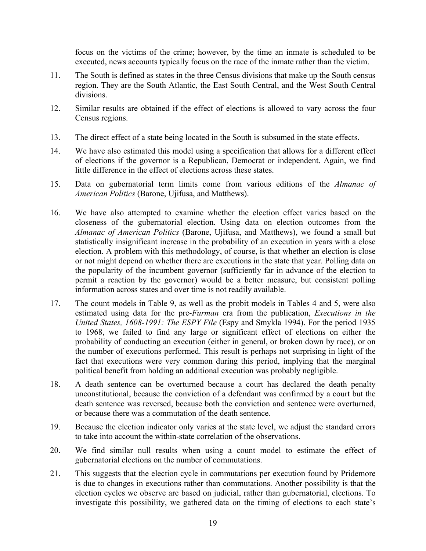focus on the victims of the crime; however, by the time an inmate is scheduled to be executed, news accounts typically focus on the race of the inmate rather than the victim.

- 11. The South is defined as states in the three Census divisions that make up the South census region. They are the South Atlantic, the East South Central, and the West South Central divisions.
- 12. Similar results are obtained if the effect of elections is allowed to vary across the four Census regions.
- 13. The direct effect of a state being located in the South is subsumed in the state effects.
- 14. We have also estimated this model using a specification that allows for a different effect of elections if the governor is a Republican, Democrat or independent. Again, we find little difference in the effect of elections across these states.
- 15. Data on gubernatorial term limits come from various editions of the *Almanac of American Politics* (Barone, Ujifusa, and Matthews).
- 16. We have also attempted to examine whether the election effect varies based on the closeness of the gubernatorial election. Using data on election outcomes from the *Almanac of American Politics* (Barone, Ujifusa, and Matthews), we found a small but statistically insignificant increase in the probability of an execution in years with a close election. A problem with this methodology, of course, is that whether an election is close or not might depend on whether there are executions in the state that year. Polling data on the popularity of the incumbent governor (sufficiently far in advance of the election to permit a reaction by the governor) would be a better measure, but consistent polling information across states and over time is not readily available.
- 17. The count models in Table 9, as well as the probit models in Tables 4 and 5, were also estimated using data for the pre-*Furman* era from the publication, *Executions in the United States, 1608-1991: The ESPY File* (Espy and Smykla 1994). For the period 1935 to 1968, we failed to find any large or significant effect of elections on either the probability of conducting an execution (either in general, or broken down by race), or on the number of executions performed. This result is perhaps not surprising in light of the fact that executions were very common during this period, implying that the marginal political benefit from holding an additional execution was probably negligible.
- 18. A death sentence can be overturned because a court has declared the death penalty unconstitutional, because the conviction of a defendant was confirmed by a court but the death sentence was reversed, because both the conviction and sentence were overturned, or because there was a commutation of the death sentence.
- 19. Because the election indicator only varies at the state level, we adjust the standard errors to take into account the within-state correlation of the observations.
- 20. We find similar null results when using a count model to estimate the effect of gubernatorial elections on the number of commutations.
- 21. This suggests that the election cycle in commutations per execution found by Pridemore is due to changes in executions rather than commutations. Another possibility is that the election cycles we observe are based on judicial, rather than gubernatorial, elections. To investigate this possibility, we gathered data on the timing of elections to each state's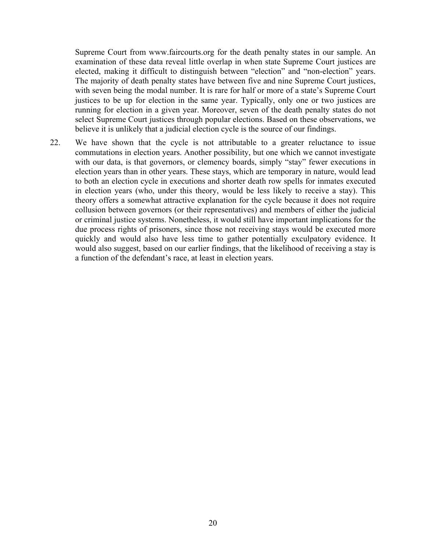Supreme Court from www.faircourts.org for the death penalty states in our sample. An examination of these data reveal little overlap in when state Supreme Court justices are elected, making it difficult to distinguish between "election" and "non-election" years. The majority of death penalty states have between five and nine Supreme Court justices, with seven being the modal number. It is rare for half or more of a state's Supreme Court justices to be up for election in the same year. Typically, only one or two justices are running for election in a given year. Moreover, seven of the death penalty states do not select Supreme Court justices through popular elections. Based on these observations, we believe it is unlikely that a judicial election cycle is the source of our findings.

22. We have shown that the cycle is not attributable to a greater reluctance to issue commutations in election years. Another possibility, but one which we cannot investigate with our data, is that governors, or clemency boards, simply "stay" fewer executions in election years than in other years. These stays, which are temporary in nature, would lead to both an election cycle in executions and shorter death row spells for inmates executed in election years (who, under this theory, would be less likely to receive a stay). This theory offers a somewhat attractive explanation for the cycle because it does not require collusion between governors (or their representatives) and members of either the judicial or criminal justice systems. Nonetheless, it would still have important implications for the due process rights of prisoners, since those not receiving stays would be executed more quickly and would also have less time to gather potentially exculpatory evidence. It would also suggest, based on our earlier findings, that the likelihood of receiving a stay is a function of the defendant's race, at least in election years.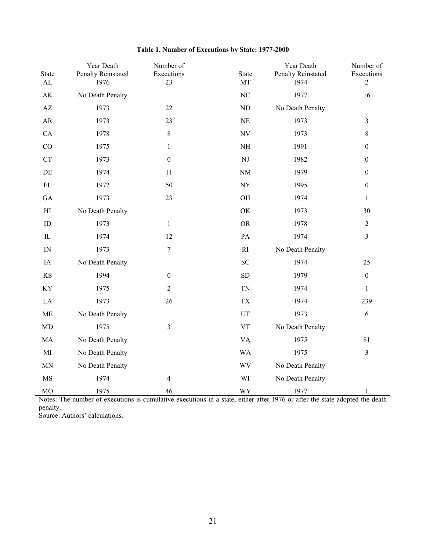| <b>State</b>               | Year Death<br><b>Penalty Reinstated</b> | Number of<br>Executions | State                    | Year Death<br><b>Penalty Reinstated</b> | Number of<br>Executions |
|----------------------------|-----------------------------------------|-------------------------|--------------------------|-----------------------------------------|-------------------------|
| ${\rm AL}$                 | 1976                                    | $\overline{23}$         | MT                       | 1974                                    | $\overline{2}$          |
| $\mathbf{A}\mathbf{K}$     | No Death Penalty                        |                         | $\rm NC$                 | 1977                                    | 16                      |
| $\mathbf{A}\mathbf{Z}$     | 1973                                    | 22                      | $\rm ND$                 | No Death Penalty                        |                         |
| ${\sf AR}$                 | 1973                                    | 23                      | $\rm NE$                 | 1973                                    | $\mathfrak{Z}$          |
| CA                         | 1978                                    | 8                       | $\ensuremath{\text{NV}}$ | 1973                                    | $8\,$                   |
| CO                         | 1975                                    | $\mathbf{1}$            | $\rm NH$                 | 1991                                    | $\boldsymbol{0}$        |
| ${\cal C}{\cal T}$         | 1973                                    | $\boldsymbol{0}$        | $\rm{NJ}$                | 1982                                    | $\boldsymbol{0}$        |
| $\rm DE$                   | 1974                                    | 11                      | $\rm{NM}$                | 1979                                    | $\boldsymbol{0}$        |
| $\mathbf{FL}$              | 1972                                    | 50                      | ${\rm NY}$               | 1995                                    | $\boldsymbol{0}$        |
| GA                         | 1973                                    | $23\,$                  | OH                       | 1974                                    | $\mathbf{1}$            |
| $\mathop{\rm HI}\nolimits$ | No Death Penalty                        |                         | OK                       | 1973                                    | 30                      |
| ${\rm ID}$                 | 1973                                    | $\mathbf{1}$            | <b>OR</b>                | 1978                                    | $\sqrt{2}$              |
| $\rm IL$                   | 1974                                    | 12                      | PA                       | 1974                                    | $\mathfrak{Z}$          |
| ${\rm IN}$                 | 1973                                    | $\sqrt{ }$              | $\mathbf{R}\mathbf{I}$   | No Death Penalty                        |                         |
| IA                         | No Death Penalty                        |                         | ${\rm SC}$               | 1974                                    | $25\,$                  |
| $\rm KS$                   | 1994                                    | $\boldsymbol{0}$        | ${\rm SD}$               | 1979                                    | $\boldsymbol{0}$        |
| KY                         | 1975                                    | $\overline{c}$          | <b>TN</b>                | 1974                                    | $\mathbf{1}$            |
| $\rm LA$                   | 1973                                    | 26                      | ${\rm T}{\rm X}$         | 1974                                    | 239                     |
| ME                         | No Death Penalty                        |                         | $_{\rm UT}$              | 1973                                    | $\sqrt{6}$              |
| $\mbox{MD}$                | 1975                                    | 3                       | ${\rm VT}$               | No Death Penalty                        |                         |
| MA                         | No Death Penalty                        |                         | <b>VA</b>                | 1975                                    | $81\,$                  |
| $\rm MI$                   | No Death Penalty                        |                         | <b>WA</b>                | 1975                                    | $\mathfrak{Z}$          |
| $\ensuremath{\text{MN}}$   | No Death Penalty                        |                         | WV                       | No Death Penalty                        |                         |
| <b>MS</b>                  | 1974                                    | 4                       | WI                       | No Death Penalty                        |                         |
| MO                         | 1975                                    | 46                      | WY                       | 1977                                    | $\mathbf{1}$            |

| Table 1. Number of Executions by State: 1977-2000 |  |  |  |
|---------------------------------------------------|--|--|--|
|---------------------------------------------------|--|--|--|

Notes: The number of executions is cumulative executions in a state, either after 1976 or after the state adopted the death penalty.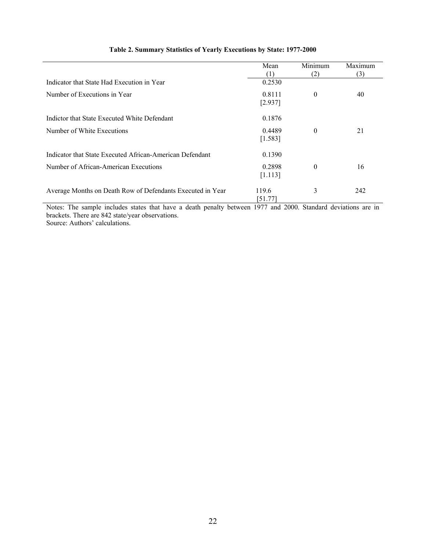|                                                            | Mean<br>(1)       | Minimum<br>(2) | Maximum<br>(3) |
|------------------------------------------------------------|-------------------|----------------|----------------|
| Indicator that State Had Execution in Year                 | 0.2530            |                |                |
| Number of Executions in Year                               | 0.8111<br>[2.937] | $\mathbf{0}$   | 40             |
| Indictor that State Executed White Defendant               | 0.1876            |                |                |
| Number of White Executions                                 | 0.4489<br>[1.583] | $\theta$       | 21             |
| Indicator that State Executed African-American Defendant   | 0.1390            |                |                |
| Number of African-American Executions                      | 0.2898<br>[1.113] | $\theta$       | 16             |
| Average Months on Death Row of Defendants Executed in Year | 119.6<br>[51.77]  | 3              | 242            |

### **Table 2. Summary Statistics of Yearly Executions by State: 1977-2000**

Notes: The sample includes states that have a death penalty between 1977 and 2000. Standard deviations are in brackets. There are 842 state/year observations.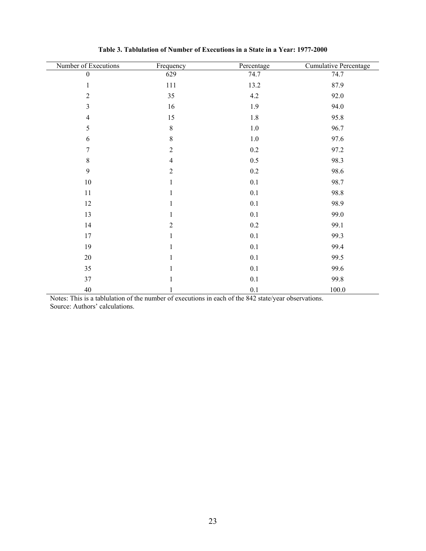| Number of Executions | Frequency      | Percentage | <b>Cumulative Percentage</b> |
|----------------------|----------------|------------|------------------------------|
| $\mathbf{0}$         | 629            | 74.7       | 74.7                         |
| $\mathbf{1}$         | $111\,$        | 13.2       | 87.9                         |
| $\overline{2}$       | 35             | 4.2        | 92.0                         |
| $\overline{3}$       | 16             | 1.9        | 94.0                         |
| $\overline{4}$       | 15             | $1.8\,$    | 95.8                         |
| 5                    | $\,8\,$        | $1.0\,$    | 96.7                         |
| 6                    | $8\,$          | $1.0\,$    | 97.6                         |
| 7                    | $\overline{2}$ | $0.2\,$    | 97.2                         |
| 8                    | $\overline{4}$ | 0.5        | 98.3                         |
| 9                    | $\overline{2}$ | $0.2\,$    | 98.6                         |
| $10\,$               | $\mathbf{1}$   | $0.1\,$    | 98.7                         |
| $11\,$               | 1              | $0.1\,$    | 98.8                         |
| 12                   | 1              | 0.1        | 98.9                         |
| 13                   | 1              | $0.1\,$    | 99.0                         |
| 14                   | $\overline{2}$ | $0.2\,$    | 99.1                         |
| 17                   | $\mathbf{1}$   | 0.1        | 99.3                         |
| 19                   | 1              | $0.1\,$    | 99.4                         |
| $20\,$               | 1              | 0.1        | 99.5                         |
| 35                   | 1              | 0.1        | 99.6                         |
| 37                   |                | 0.1        | 99.8                         |
| $40\,$               | 1              | 0.1        | $100.0\,$                    |

**Table 3. Tablulation of Number of Executions in a State in a Year: 1977-2000** 

Notes: This is a tablulation of the number of executions in each of the 842 state/year observations. Source: Authors' calculations.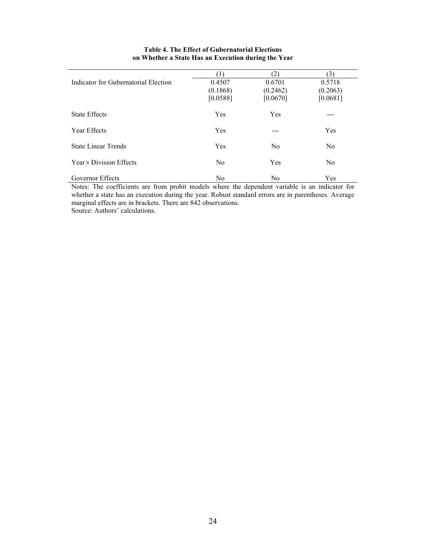|                                      |                |                | (3)            |
|--------------------------------------|----------------|----------------|----------------|
| Indicator for Gubernatorial Election | 0.4507         | 0.6701         | 0.5718         |
|                                      | (0.1868)       | (0.2462)       | (0.2063)       |
|                                      | [0.0588]       | [0.0670]       | [0.0681]       |
| <b>State Effects</b>                 | Yes            | Yes            | ---            |
| Year Effects                         | Yes            |                | Yes            |
| <b>State Linear Trends</b>           | Yes            | N <sub>0</sub> | N <sub>0</sub> |
| Year × Division Effects              | N <sub>0</sub> | Yes            | N <sub>0</sub> |
| Governor Effects                     | N <sub>0</sub> | N <sub>0</sub> | Yes            |

### **Table 4. The Effect of Gubernatorial Elections on Whether a State Has an Execution during the Year**

Notes: The coefficients are from probit models where the dependent variable is an indicator for whether a state has an execution during the year. Robust standard errors are in parentheses. Average marginal effects are in brackets. There are 842 observations. Source: Authors' calculations.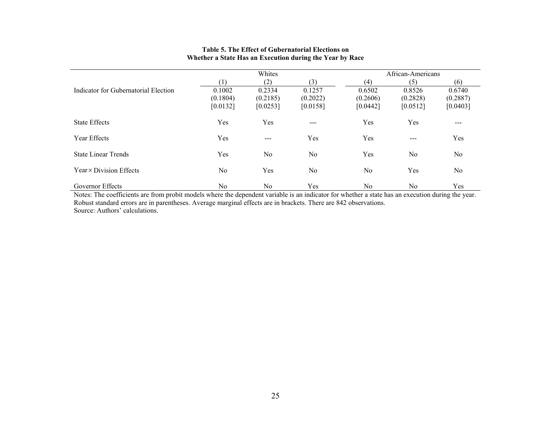|                                      |                                | Whites                         |                                | African-Americans              |                                |                                |
|--------------------------------------|--------------------------------|--------------------------------|--------------------------------|--------------------------------|--------------------------------|--------------------------------|
|                                      | [1]                            | (2)                            | (3)                            | (4)                            | (5)                            | (6)                            |
| Indicator for Gubernatorial Election | 0.1002<br>(0.1804)<br>[0.0132] | 0.2334<br>(0.2185)<br>[0.0253] | 0.1257<br>(0.2022)<br>[0.0158] | 0.6502<br>(0.2606)<br>[0.0442] | 0.8526<br>(0.2828)<br>[0.0512] | 0.6740<br>(0.2887)<br>[0.0403] |
| <b>State Effects</b>                 | Yes                            | Yes                            | $---$                          | Yes                            | Yes                            | $---$                          |
| <b>Year Effects</b>                  | Yes                            | $\qquad \qquad \cdots$         | Yes                            | Yes                            | $---$                          | Yes                            |
| <b>State Linear Trends</b>           | Yes                            | No                             | No                             | Yes                            | No                             | No                             |
| Year × Division Effects              | N <sub>0</sub>                 | Yes                            | No                             | No                             | Yes                            | N <sub>0</sub>                 |
| Governor Effects                     | No                             | No                             | Yes                            | No                             | No                             | Yes                            |

#### **Table 5. The Effect of Gubernatorial Elections on Whether a State Has an Execution during the Year by Race**

Governor Effects No No No Yes No Yes No Yes No Yes No Yes No No Yes No Yes No Yes No Yes No Yes No Yes No Yes No Yes No Yes No Yes No Yes No Yes No Yes No Yes No Yes No Yes No Yes No Yes No Yes No Yes No Yes No Yes No Yes Robust standard errors are in parentheses. Average marginal effects are in brackets. There are 842 observations. Source: Authors' calculations.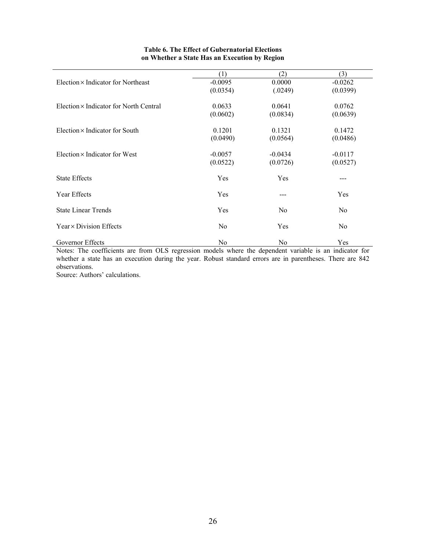|                                               | (1)            | (2)            | (3)            |
|-----------------------------------------------|----------------|----------------|----------------|
| Election $\times$ Indicator for Northeast     | $-0.0095$      | 0.0000         | $-0.0262$      |
|                                               | (0.0354)       | (.0249)        | (0.0399)       |
| Election $\times$ Indicator for North Central | 0.0633         | 0.0641         | 0.0762         |
|                                               | (0.0602)       | (0.0834)       | (0.0639)       |
| Election $\times$ Indicator for South         | 0.1201         | 0.1321         | 0.1472         |
|                                               | (0.0490)       | (0.0564)       | (0.0486)       |
| Election $\times$ Indicator for West          | $-0.0057$      | $-0.0434$      | $-0.0117$      |
|                                               | (0.0522)       | (0.0726)       | (0.0527)       |
| <b>State Effects</b>                          | Yes            | Yes            | $---$          |
| Year Effects                                  | Yes            |                | Yes            |
| <b>State Linear Trends</b>                    | Yes            | N <sub>0</sub> | N <sub>0</sub> |
| Year × Division Effects                       | N <sub>0</sub> | Yes            | N <sub>0</sub> |
| Governor Effects                              | N <sub>0</sub> | N <sub>0</sub> | Yes            |

### **Table 6. The Effect of Gubernatorial Elections on Whether a State Has an Execution by Region**

Notes: The coefficients are from OLS regression models where the dependent variable is an indicator for whether a state has an execution during the year. Robust standard errors are in parentheses. There are 842 observations.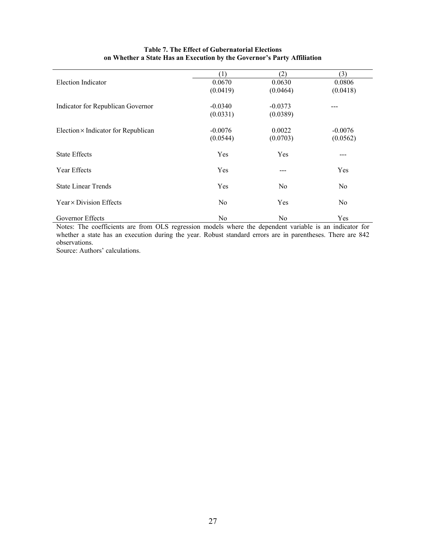|                                            | (1)            | (2)       | (3)            |
|--------------------------------------------|----------------|-----------|----------------|
| Election Indicator                         | 0.0670         | 0.0630    | 0.0806         |
|                                            | (0.0419)       | (0.0464)  | (0.0418)       |
| Indicator for Republican Governor          | $-0.0340$      | $-0.0373$ |                |
|                                            | (0.0331)       | (0.0389)  |                |
| Election $\times$ Indicator for Republican | $-0.0076$      | 0.0022    | $-0.0076$      |
|                                            | (0.0544)       | (0.0703)  | (0.0562)       |
| <b>State Effects</b>                       | Yes            | Yes       | ---            |
| <b>Year Effects</b>                        | Yes            | ---       | Yes            |
| <b>State Linear Trends</b>                 | Yes            | No.       | N <sub>0</sub> |
| Year × Division Effects                    | N <sub>0</sub> | Yes       | No             |
| Governor Effects                           | No.            | No        | Yes            |

### **Table 7. The Effect of Gubernatorial Elections on Whether a State Has an Execution by the Governor's Party Affiliation**

Notes: The coefficients are from OLS regression models where the dependent variable is an indicator for whether a state has an execution during the year. Robust standard errors are in parentheses. There are 842 observations.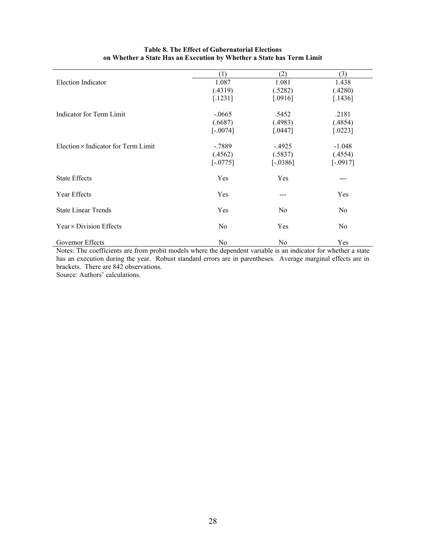| (2)<br>(3)<br>(1)<br><b>Election Indicator</b><br>1.087<br>1.081<br>1.438<br>(.4319)<br>(.5282)<br>(.4280)<br>[.1436]<br>[.1231]<br>[.0916]<br>Indicator for Term Limit<br>$-.0665$<br>.5452<br>.2181<br>(.4983)<br>(.4854)<br>(.6687)<br>$[-.0074]$<br>[.0447]<br>$[.0223]$<br>Election $\times$ Indicator for Term Limit<br>$-.7889$<br>$-1.048$<br>$-.4925$<br>(.4562)<br>(.5837)<br>(.4554)<br>$[-0775]$<br>$[-.0386]$<br>$[-.0917]$ |
|------------------------------------------------------------------------------------------------------------------------------------------------------------------------------------------------------------------------------------------------------------------------------------------------------------------------------------------------------------------------------------------------------------------------------------------|
|                                                                                                                                                                                                                                                                                                                                                                                                                                          |
|                                                                                                                                                                                                                                                                                                                                                                                                                                          |
|                                                                                                                                                                                                                                                                                                                                                                                                                                          |
|                                                                                                                                                                                                                                                                                                                                                                                                                                          |
|                                                                                                                                                                                                                                                                                                                                                                                                                                          |
|                                                                                                                                                                                                                                                                                                                                                                                                                                          |
|                                                                                                                                                                                                                                                                                                                                                                                                                                          |
|                                                                                                                                                                                                                                                                                                                                                                                                                                          |
|                                                                                                                                                                                                                                                                                                                                                                                                                                          |
|                                                                                                                                                                                                                                                                                                                                                                                                                                          |
|                                                                                                                                                                                                                                                                                                                                                                                                                                          |
|                                                                                                                                                                                                                                                                                                                                                                                                                                          |
| <b>State Effects</b><br>Yes<br>Yes                                                                                                                                                                                                                                                                                                                                                                                                       |
|                                                                                                                                                                                                                                                                                                                                                                                                                                          |
| Year Effects<br>Yes<br>Yes                                                                                                                                                                                                                                                                                                                                                                                                               |
| <b>State Linear Trends</b><br>Yes<br>No<br>No                                                                                                                                                                                                                                                                                                                                                                                            |
|                                                                                                                                                                                                                                                                                                                                                                                                                                          |
| Year × Division Effects<br>No<br>Yes<br>No                                                                                                                                                                                                                                                                                                                                                                                               |
| Governor Effects<br>Yes<br>No<br>No                                                                                                                                                                                                                                                                                                                                                                                                      |

### **Table 8. The Effect of Gubernatorial Elections on Whether a State Has an Execution by Whether a State has Term Limit**

Notes: The coefficients are from probit models where the dependent variable is an indicator for whether a state has an execution during the year. Robust standard errors are in parentheses. Average marginal effects are in brackets. There are 842 observations.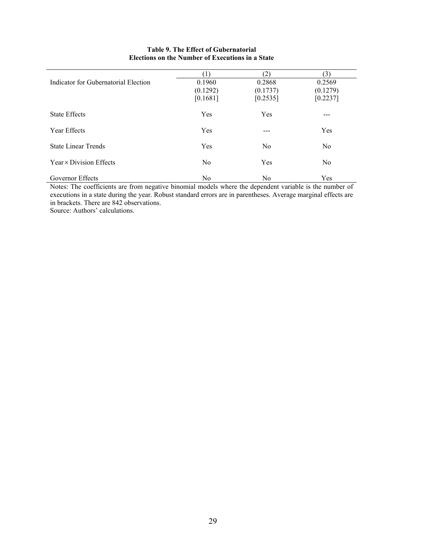|                                      | (1)            | (2)            | (3)            |
|--------------------------------------|----------------|----------------|----------------|
| Indicator for Gubernatorial Election | 0.1960         | 0.2868         | 0.2569         |
|                                      | (0.1292)       | (0.1737)       | (0.1279)       |
|                                      | [0.1681]       | [0.2535]       | [0.2237]       |
| <b>State Effects</b>                 | Yes            | Yes            |                |
| Year Effects                         | Yes            | ---            | Yes            |
| <b>State Linear Trends</b>           | Yes            | No             | N <sub>0</sub> |
| Year × Division Effects              | No             | Yes            | N <sub>0</sub> |
| Governor Effects                     | N <sub>0</sub> | N <sub>0</sub> | Yes            |

### **Table 9. The Effect of Gubernatorial Elections on the Number of Executions in a State**

Notes: The coefficients are from negative binomial models where the dependent variable is the number of executions in a state during the year. Robust standard errors are in parentheses. Average marginal effects are in brackets. There are 842 observations.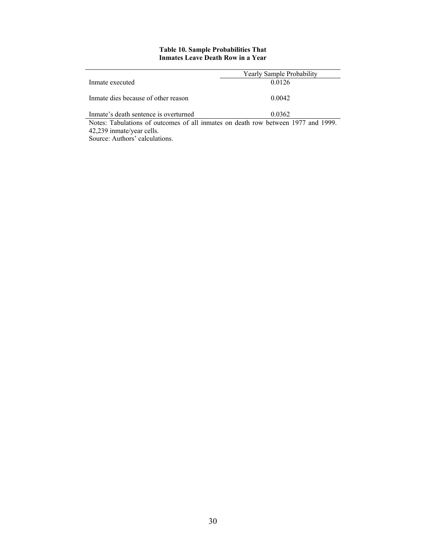#### **Table 10. Sample Probabilities That Inmates Leave Death Row in a Year**

|                                                                                   | Yearly Sample Probability |
|-----------------------------------------------------------------------------------|---------------------------|
| Inmate executed                                                                   | 0.0126                    |
|                                                                                   |                           |
| Inmate dies because of other reason                                               | 0.0042                    |
|                                                                                   |                           |
| Inmate's death sentence is overturned                                             | 0.0362                    |
| Notes: Tabulations of outcomes of all inmates on death row between 1977 and 1999. |                           |
| 42,239 inmate/year cells.                                                         |                           |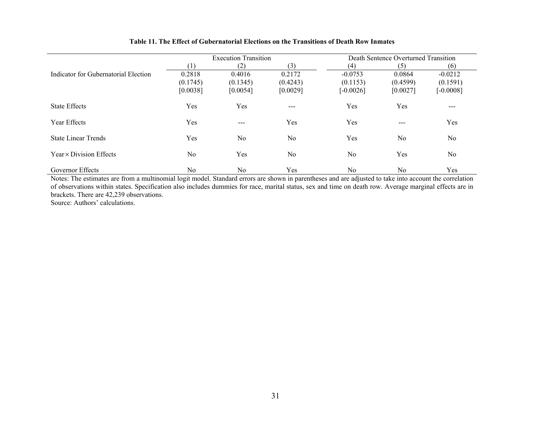|                                      |                | <b>Execution Transition</b> |          |                | Death Sentence Overturned Transition |             |
|--------------------------------------|----------------|-----------------------------|----------|----------------|--------------------------------------|-------------|
|                                      |                | (2)                         | (3)      | (4)            | (5)                                  | (6)         |
| Indicator for Gubernatorial Election | 0.2818         | 0.4016                      | 0.2172   | $-0.0753$      | 0.0864                               | $-0.0212$   |
|                                      | (0.1745)       | (0.1345)                    | (0.4243) | (0.1153)       | (0.4599)                             | (0.1591)    |
|                                      | [0.0038]       | [0.0054]                    | [0.0029] | $[-0.0026]$    | [0.0027]                             | $-0.0008$ ] |
| <b>State Effects</b>                 | Yes            | Yes                         | $---$    | Yes            | Yes                                  | ---         |
| Year Effects                         | Yes            | $---$                       | Yes      | Yes            | $---$                                | Yes         |
| <b>State Linear Trends</b>           | Yes            | No                          | No       | Yes            | N <sub>0</sub>                       | No          |
| Year × Division Effects              | N <sub>0</sub> | Yes                         | No       | N <sub>o</sub> | Yes                                  | No.         |
| Governor Effects                     | No             | No.                         | Yes      | N <sub>0</sub> | N <sub>0</sub>                       | Yes         |

#### **Table 11. The Effect of Gubernatorial Elections on the Transitions of Death Row Inmates**

Governor Effects No No No No Yes No Yes No Yes No Yes No No No Yes No No No Yes No Yes No Yes No Yes No Yes No Res November 2011 and are adjusted to take into account the correlation of observations within states. Specification also includes dummies for race, marital status, sex and time on death row. Average marginal effects are in brackets. There are 42,239 observations.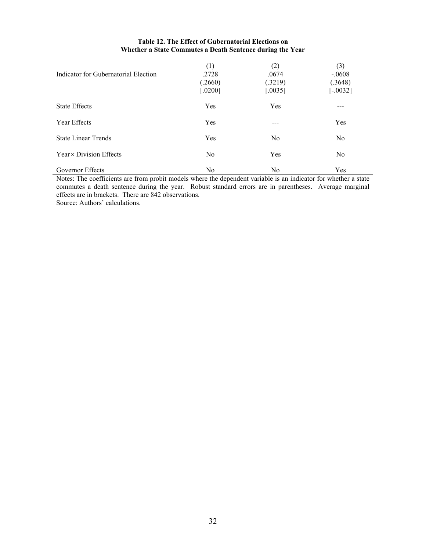|                                      |                | (2)            | (3)            |
|--------------------------------------|----------------|----------------|----------------|
| Indicator for Gubernatorial Election | .2728          | .0674          | $-.0608$       |
|                                      | (.2660)        | (.3219)        | (.3648)        |
|                                      | $[.0200]$      | $0035$         | $[-.0032]$     |
|                                      |                |                |                |
| <b>State Effects</b>                 | Yes            | Yes            | ---            |
| Year Effects                         | Yes            |                | Yes            |
|                                      |                |                |                |
| <b>State Linear Trends</b>           | Yes            | N <sub>0</sub> | N <sub>0</sub> |
|                                      |                |                |                |
| Year × Division Effects              | N <sub>0</sub> | Yes            | No.            |
|                                      |                |                |                |
| Governor Effects                     | No             | No             | Yes            |

### **Table 12. The Effect of Gubernatorial Elections on Whether a State Commutes a Death Sentence during the Year**

Notes: The coefficients are from probit models where the dependent variable is an indicator for whether a state commutes a death sentence during the year. Robust standard errors are in parentheses. Average marginal effects are in brackets. There are 842 observations. Source: Authors' calculations.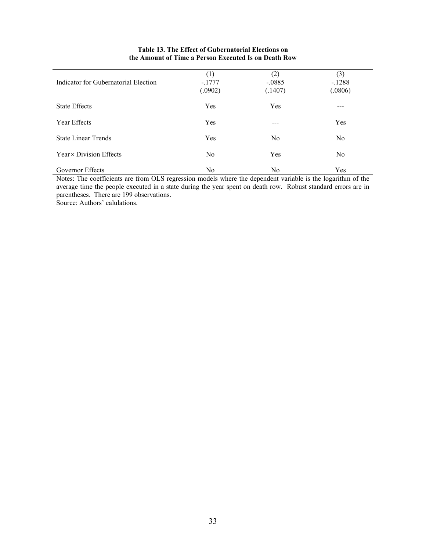|                                                             |                                         | (2)            | $\mathfrak{Z}$               |  |
|-------------------------------------------------------------|-----------------------------------------|----------------|------------------------------|--|
| Indicator for Gubernatorial Election                        | $-.1777$                                | $-.0885$       | $-.1288$                     |  |
|                                                             | (.0902)                                 | (.1407)        | (.0806)                      |  |
| <b>State Effects</b>                                        | Yes                                     | Yes            | ---                          |  |
|                                                             |                                         |                |                              |  |
|                                                             |                                         | ---            |                              |  |
| <b>State Linear Trends</b>                                  | Yes                                     | N <sub>0</sub> | N <sub>0</sub>               |  |
|                                                             |                                         |                |                              |  |
|                                                             |                                         |                |                              |  |
|                                                             |                                         |                |                              |  |
| Year Effects<br>Year × Division Effects<br>Governor Effects | Yes<br>N <sub>0</sub><br>N <sub>0</sub> | Yes<br>No      | Yes<br>N <sub>0</sub><br>Yes |  |

#### **Table 13. The Effect of Gubernatorial Elections on the Amount of Time a Person Executed Is on Death Row**

Notes: The coefficients are from OLS regression models where the dependent variable is the logarithm of the average time the people executed in a state during the year spent on death row. Robust standard errors are in parentheses. There are 199 observations.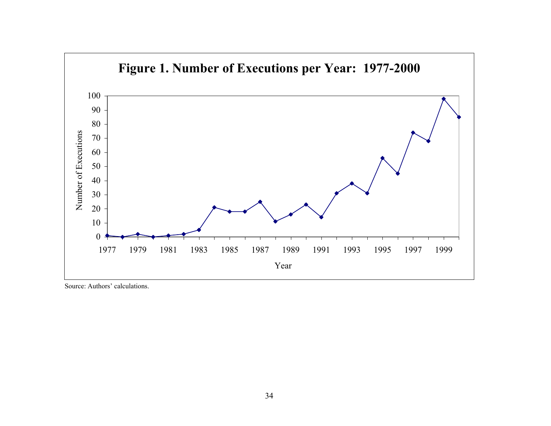

Source: Authors' calculations.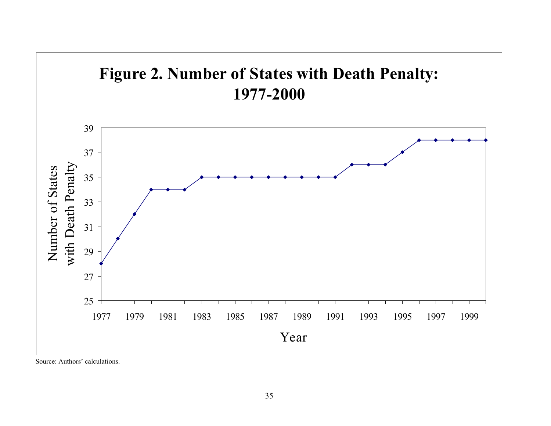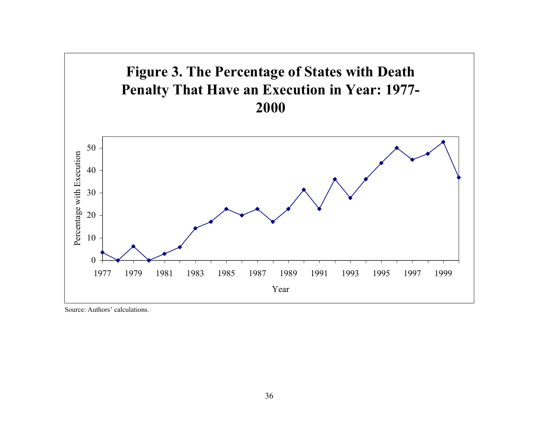

Source: Authors' calculations.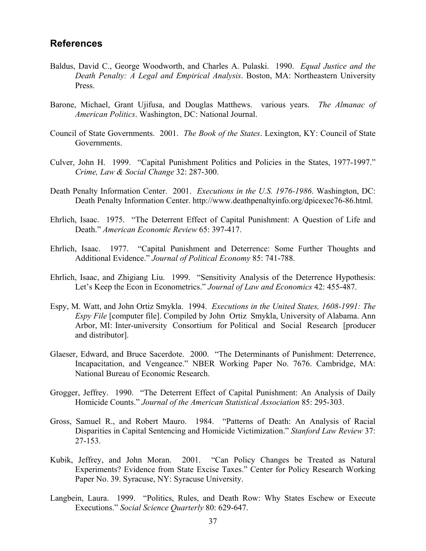# **References**

- Baldus, David C., George Woodworth, and Charles A. Pulaski. 1990. *Equal Justice and the Death Penalty: A Legal and Empirical Analysis*. Boston, MA: Northeastern University Press.
- Barone, Michael, Grant Ujifusa, and Douglas Matthews. various years. *The Almanac of American Politics*. Washington, DC: National Journal.
- Council of State Governments. 2001. *The Book of the States*. Lexington, KY: Council of State Governments.
- Culver, John H. 1999. "Capital Punishment Politics and Policies in the States, 1977-1997." *Crime, Law & Social Change* 32: 287-300.
- Death Penalty Information Center. 2001. *Executions in the U.S. 1976-1986*. Washington, DC: Death Penalty Information Center. http://www.deathpenaltyinfo.org/dpicexec76-86.html.
- Ehrlich, Isaac. 1975. "The Deterrent Effect of Capital Punishment: A Question of Life and Death." *American Economic Review* 65: 397-417.
- Ehrlich, Isaac. 1977. "Capital Punishment and Deterrence: Some Further Thoughts and Additional Evidence." *Journal of Political Economy* 85: 741-788.
- Ehrlich, Isaac, and Zhigiang Liu. 1999. "Sensitivity Analysis of the Deterrence Hypothesis: Let's Keep the Econ in Econometrics." *Journal of Law and Economics* 42: 455-487.
- Espy, M. Watt, and John Ortiz Smykla. 1994. *Executions in the United States, 1608-1991: The Espy File* [computer file]. Compiled by John Ortiz Smykla, University of Alabama. Ann Arbor, MI: Inter-university Consortium for Political and Social Research [producer and distributor].
- Glaeser, Edward, and Bruce Sacerdote. 2000. "The Determinants of Punishment: Deterrence, Incapacitation, and Vengeance." NBER Working Paper No. 7676. Cambridge, MA: National Bureau of Economic Research.
- Grogger, Jeffrey. 1990. "The Deterrent Effect of Capital Punishment: An Analysis of Daily Homicide Counts." *Journal of the American Statistical Association* 85: 295-303.
- Gross, Samuel R., and Robert Mauro. 1984. "Patterns of Death: An Analysis of Racial Disparities in Capital Sentencing and Homicide Victimization." *Stanford Law Review* 37: 27-153.
- Kubik, Jeffrey, and John Moran. 2001. "Can Policy Changes be Treated as Natural Experiments? Evidence from State Excise Taxes." Center for Policy Research Working Paper No. 39. Syracuse, NY: Syracuse University.
- Langbein, Laura. 1999. "Politics, Rules, and Death Row: Why States Eschew or Execute Executions." *Social Science Quarterly* 80: 629-647.